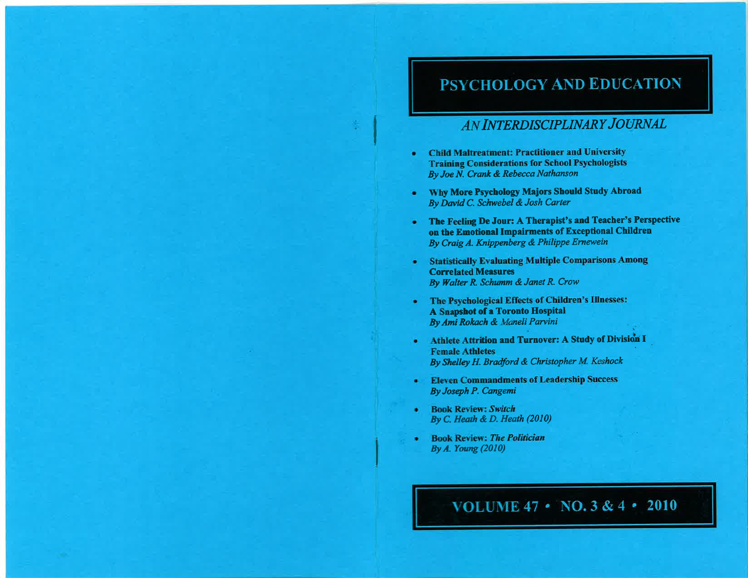# **PSYCHOLOGY AND EDUCATION**

# AN INTERDISCIPLINARY JOURNAL

- **Child Maltreatment: Practitioner and University** ٠ **Training Considerations for School Psychologists** By Joe N. Crank & Rebecca Nathanson
- Why More Psychology Majors Should Study Abroad  $\bullet$ By David C. Schwebel & Josh Carter
- The Feeling De Jour: A Therapist's and Teacher's Perspective on the Emotional Impairments of Exceptional Children By Craig A. Knippenberg & Philippe Ernewein
- **Statistically Evaluating Multiple Comparisons Among**  $\bullet$ **Correlated Measures** By Walter R. Schumm & Janet R. Crow
- The Psychological Effects of Children's Illnesses: A Snapshot of a Toronto Hospital By Ami Rokach & Maneli Parvini
- Athlete Attrition and Turnover: A Study of Division I ٠ **Female Athletes** By Shelley H. Bradford & Christopher M. Keshock
- **Eleven Commandments of Leadership Success** ٠ By Joseph P. Cangemi
- **Book Review: Switch** ٠ By C. Heath & D. Heath  $(2010)$
- **Book Review: The Politician** ٠ By  $A$ . Young  $(2010)$

VOLUME 47 • NO. 3 & 4 • 2010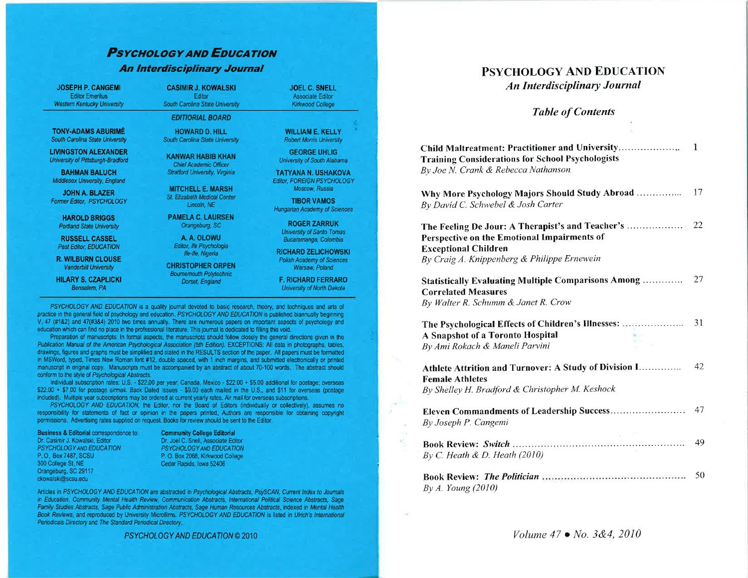# **PSYCHOLOGY AND EDUCATION An Interdisciplinary Journal**

**JOSEPH P. CANGEMI Editor Emeritus Western Kentucky University** 

**TONY-ADAMS ABURIMÉ** 

South Carolina State University

**LIVINGSTON ALEXANDER** 

University of Pittsburgh-Bradford

**BAHMAN BALUCH** 

Middlesex University, England

**JOHN A. BLAZER** 

Former Editor, PSYCHOLOGY

**HAROLD BRIGGS** 

**Portland State University** 

**RUSSELL CASSEL** 

Past Editor, EDUCATION

**R. WILBURN CLOUSE** 

Vanderbilt University

**HILARY S. CZAPLICKI** 

Bensalem, PA

**CASIMIR J. KOWALSKI** Editor South Carolina State University

**EDITIORIAL BOARD** 

**HOWARD D. HILL** South Carolina State University

**KANWAR HABIB KHAN** Chief Academic Officer **Stratford University, Virginia** 

> **MITCHELL E. MARSH** St. Elizabeth Medical Center Lincoln, NE

**PAMELA C. LAURSEN** Orangeburg, SC

> A. A. OLOWU Editor, Ife Psychologia Ife-Ife, Nigeria

**CHRISTOPHER ORPEN Boumemouth Polytechnic** Dorset, England

**WILLIAM E. KELLY Robert Morris University** 

**JOEL C. SNELL** 

**Associate Editor** 

Kirkwood College

**GEORGE UHLIG** University of South Alabama

**TATYANA N. USHAKOVA** Editor, FOREIGN PSYCHOLOGY Moscow, Russia

**TIBOR VAMOS Hungarian Academy of Sciences** 

> **ROGER ZARRUK University of Santo Tomas** Bucaramanga, Colombia

**RICHARD ZELICHOWSKI Polish Academy of Sciences** Warsaw, Poland

**F. RICHARD FERRARO** University of North Dakota

PSYCHOLOGY AND EDUCATION is a quality journal devoted to basic research, theory, and techniques and arts of practice in the general field of psychology and education. PSYCHOLOGY AND EDUCATION is published biannually beginning V 47 (#182) and 47(#384) 2010 two times annually. There are numerous papers on important aspects of psychology and education which can find no place in the professional literature. This journal is dedicated to filling this void.

Preparation of manuscripts: In formal aspects, the manuscripts should follow closely the general directions given in the Publication Manual of the American Psychological Association (5th Edition), EXCEPTIONS: All data in photographs, tables, drawings, figures and graphs must be simplified and stated in the RESULTS section of the paper. All papers must be formatted in MSWord, typed, Times New Roman font #12, double spaced, with 1 inch margins, and submitted electronically or printed manuscript in original copy. Manuscripts must be accompanied by an abstract of about 70-100 words. The abstract should conform to the style of Psychological Abstracts.

Individual subscription rates: U.S. - \$22.00 per year; Canada, Mexico - \$22.00 + \$5.00 additional for postage; overseas \$22.00 + \$7.00 for postage airmail. Back Dated Issues - \$9.00 each mailed in the U.S., and \$11 for overseas (postage included). Multiple year subscriptions may be ordered at current yearly rates. Air mail for overseas subscriptions.

PSYCHOLOGY AND EDUCATION, the Editor, nor the Board of Editors (individually or collectively), assumes no responsibility for statements of fact or opinion in the papers printed. Authors are responsible for obtaining copyright permissions. Advertising rates supplied on request. Books for review should be sent to the Editor.

**Business & Editorial correspondence to:** Dr. Casimir J. Kowalski, Editor PSYCHOLOGY AND EDUCATION P.O. Box 7487, SCSU 300 College St, NE Orangeburg, SC 29117 ckowalski@scsu.edu

**Community College Editorial** Dr. Joel C. Snell, Associate Editor PSYCHOLOGY AND EDUCATION P. O. Box 2068, Kirkwood College Cedar Rapids, Iowa 52406

Articles in PSYCHOLOGY AND EDUCATION are abstracted in Psychological Abstracts, PsySCAN, Current Index to Journals in Education, Community Mental Health Review, Communication Abstracts, International Political Science Abstracts, Sage Family Studies Abstracts, Sage Public Administration Abstracts, Sage Human Resources Abstracts, indexed in Mental Health Book Reviews, and reproduced by University Microfilms. PSYCHOLOGY AND EDUCATION is listed in Ulrich's International Periodicals Directory and The Standard Periodical Directory.

PSYCHOLOGY AND EDUCATION © 2010

## **PSYCHOLOGY AND EDUCATION An Interdisciplinary Journal**

### **Table of Contents**

| <b>Training Considerations for School Psychologists</b><br>By Joe N. Crank & Rebecca Nathanson                                                                                |     |
|-------------------------------------------------------------------------------------------------------------------------------------------------------------------------------|-----|
| Why More Psychology Majors Should Study Abroad<br>By David C. Schwebel & Josh Carter                                                                                          | 17  |
| The Feeling De Jour: A Therapist's and Teacher's<br>Perspective on the Emotional Impairments of<br><b>Exceptional Children</b><br>By Craig A. Knippenberg & Philippe Ernewein | 22  |
| <b>Statistically Evaluating Multiple Comparisons Among </b><br><b>Correlated Measures</b><br>By Walter R. Schumm & Janet R. Crow                                              | -27 |
| The Psychological Effects of Children's Illnesses:<br>A Snapshot of a Toronto Hospital<br>By Ami Rokach & Maneli Parvini                                                      | 31  |
| Athlete Attrition and Turnover: A Study of Division I<br><b>Female Athletes</b><br>By Shelley H. Bradford & Christopher M. Keshock                                            | 42  |
| Eleven Commandments of Leadership Success<br>By Joseph P. Cangemi                                                                                                             | 47  |
| By C. Heath & D. Heath $(2010)$                                                                                                                                               | 49  |
| By A. Young (2010)                                                                                                                                                            | 50  |

Volume  $47 \bullet$  No. 3&4, 2010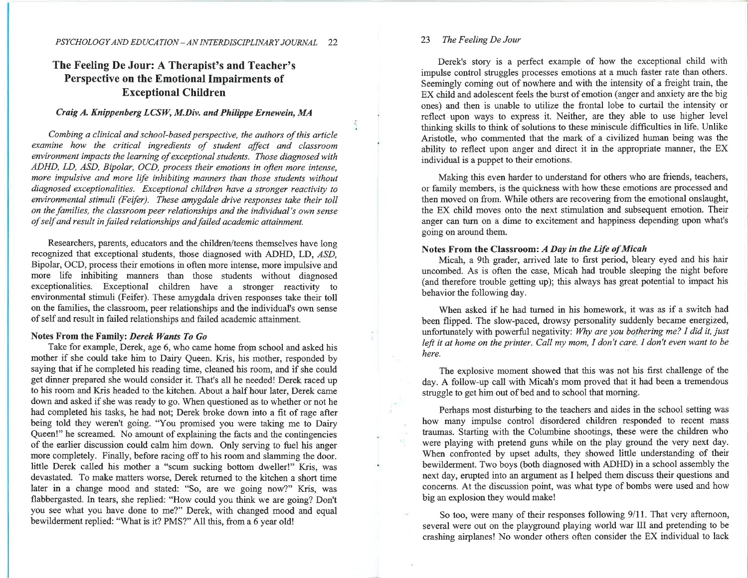### The Feeling De Jour: A Therapist's and Teacher's Perspective on the Emotional Impairments of Exceptional Children

### Crøig A. Knippenberg LCSW, M.Div. ønd Philþpe Ernewein, MA

Combing a clinical and school-based perspective, the authors of this article examine how the critical ingredients of student affect and classroom environment impacts the learning of exceptional students. Those diagnosed with ADHD, LD, ASD, Bipolar, OCD, process Íheir emotions in often more intense, more impulsive and more life inhibiting manners than those students without diagnosed exceptionalities. Exceptional children have a stronger reactivíty to environmental stimuli (Feifer). These amygdale drive responses take their toll on the families, the classroom peer relationships and the individual's own sense of self and result in failed relationships and failed academic attainment.

Researchers, parents, educators and the children/teens themselves have long recognized that exceptional students, those diagnosed with ADHD, LD, ASD, Bipolar, OCD, process their emotions in often more intense, more impulsive and more life inhibiting manners than those students without diagnosed exceptionalities. Exceptional children have a stronger reactivity to environmental stimuli (Feifer). These amygdala driven responses take their toll on the families, the classroom, peer relationships and the individual's own sense of self and result in failed relationships and failed academic attainment.

#### Notes From the Family: Derek Wants To Go

Take for example, Derek, age 6, who came home from school and asked his mother if she could take him to Dairy Queen. Kris, his mother, responded by saying that if he completed his reading time, cleaned his room, and if she could get dinner prepared she would consider it. That's all he needed! Derek raced up to his room and Kris headed to the kitchen. About a half hour later, Derek came down and asked if she was ready to go. When questioned as to whether or not he had completed his tasks, he had not; Derek broke down into a fit of rage after being told they weren't going. "You promised you were taking me to Dairy Queen!" he screamed. No amount of explaining the facts and the contingencies of the earlier discussion could calm him down. Only serving to fuel his anger more completely. Finally, before racing off to his room and slamming the door. little Derek called his mother a "scum sucking bottom dweller!" Kris, was devastated. To make matters worse, Derek returned to the kitchen a short time later in a change mood and stated: "So, are we going now?" Kris, was flabbergasted. In tears, she replied: "How could you think we are going? Don't you see what you have done to me?" Derek, with changed mood and equal bewilderment replied: "What is it? PMS?" All this, from a 6 year old!

#### 23 The Feeling De Jour

Derek's story is a perfect example of how the exceptional child with impulse control struggles processes emotions at a much faster rate than others. Seemingly coming out of nowhere and with the intensity of a freight train, the EX child and adolescent feels the burst of emotion (anger and anxiety are the big ones) and then is unable to utilize the frontal lobe to curtail the intensity or reflect upon ways to express it. Neither, are they able to use higher level thinking skills to think of solutions to these miniscule difficulties in life. Unlike Aristotle, who commented that the mark of a civilized human being was the ability to reflect upon anger and direct it in the appropriate manner, the EX individual is a puppet to their emotions.

Making this even harder to understand for others who are friends, teachers, or family members, is the quickness with how these emotions are processed and then moved on from. While others are recovering from the emotional onslaught, the EX child moves onto the next stimulation and subsequent emotion. Their anger can turn on a dime to excitement and happiness depending upon what's going on around them.

#### Notes From the Classroom: A Day in the Life of Micah

Micah, a 9th grader, arrived late to first period, bleary eyed and his hair uncombed. As is often the case, Micah had trouble sleeping the night before (and therefore trouble getting up); this always has great potential to impact his behavior the following day.

When asked if he had turned in his homework, it was as if a switch had been flipped. The slow-paced, drowsy personality suddenly became energized, unfortunately with powerful negativity: Why are you bothering me? I did it, just left it at home on the printer. Call my mom, I don't care. I don't even want to be here.

The explosive moment showed that this was not his first challenge of the day. A follow-up call with Micah's mom proved that it had been a tremendous struggle to get him out of bed and to school that morning.

Perhaps most disturbing to the teachers and aides in the school setting was how many impulse control disordered children responded to recent mass traumas. Starting with the Columbine shootings, these were the children who were playing with pretend guns while on the play ground the very next day. When confronted by upset adults, they showed little understanding of their bewilderment. Two boys (both diagnosed with ADHD) in a school assembly the next day, erupted into an argument as I helped them discuss their questions and concerns. At the discussion point, was what type of bombs were used and how big an explosion they would make!

So too, were many of their responses following 9/11. That very afternoon, several were out on the playground playing world war III and pretending to be crashing airplanes! No wonder others often consider the EX individual to lack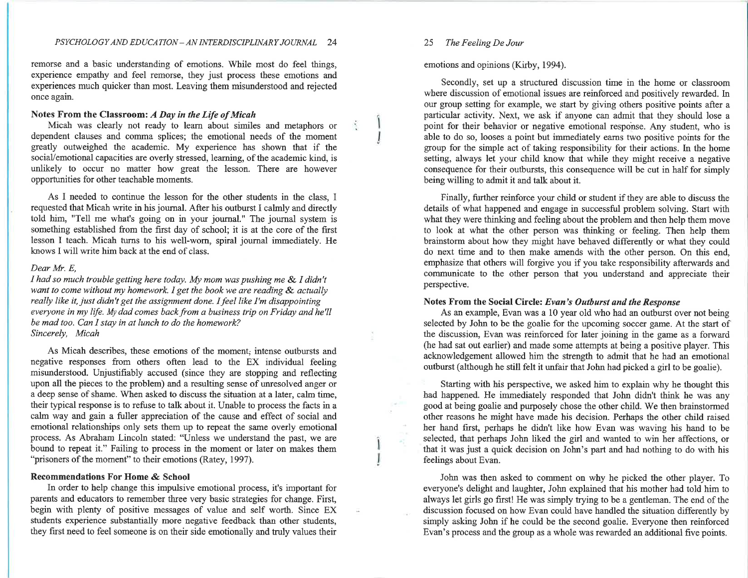remorse and a basic understanding of emotions. While most do feel things, experience empathy and feel remorse, they just process these emotions and experiences much quicker than most. Leaving them misunderstood and rejected once again.

#### Notes From the Classroom: A Day in the Life of Micah

Micah was clearly not ready to learn about similes and metaphors or dependent clauses and comma splices; the emotional needs of the moment greatly outweighed the academic. My experience has shown that if the sociaVemotional capacities are overly stressed, leaming, of the academic kind, is unlikely to occur no matter how great the lesson. There are however opportunities for other teachable moments.

As I needed to continue the lesson for the other students in the class, I requested that Micah write in his journal. After his outburst I calmly and directly told him, "Tell me what's going on in your journal." The journal system is something established from the first day of school; it is at the core of the first lesson I teach. Micah turns to his well-wom, spiral journal immediately. He knows I will write him back at the end of class.

#### Dear Mr. E,

I had so much trouble getting here today. My mom was pushing me & I didn't want to come without my homework. I get the book we are reading & actually really like it, just didn't get the assignment done. I feel like I'm disappointing everyone in my life. My dad comes back from a business trip on Friday and he'll be mad too. Can I stay in at lunch to do the homework? Sincerely, Micah

As Micah describes, these emotions of the moment; intense outbursts and negative responses from others often lead to the EX individual feeling misurderstood. Linjustifiably accused (since they are stopping and reflecting upon all the pieces to the problem) and a resulting sense of unresolved anger or a deep sense of shame. When asked to discuss the situation at a later, calm time, their typical response is to refuse to talk about it. Unable to process the facts in a calm way and gain a fuller appreciation of the cause and effect of social and emotional relationships only sets them up to repeat the same overly emotional process. As Abraham Lincoln stated: "Unless we understand the past, we are bound to repeat it." Failing to process in the moment or later on makes them "prisoners of the moment" to their emotions (Ratey, 1997).

### Recommendations For Home & School

In order to help change this impulsive emotional process, it's important for parents and educators to remember three very basic strategies for change. First, begin with plenty of positive messages of value and self worth. Since EX students experience substantially more negative feedback than other students, they first need to feel someone is on their side emotionally and truly values their

#### 25 The Feeling De Jour

emotions and opinions (Kirby, 1994).

Secondly, set up a structured discussion time in the home or classroom where discussion of emotional issues are reinforced and positively rewarded. In our group setting for example, we start by giving others positive points after a particular activity. Next, we ask if anyone can admit that they should lose <sup>a</sup> point for their behavior or negative emotional response. Any student, who is able to do so, looses a point but immediately eams two positive points for the group for the simple act of taking responsibility for their actions. In the home setting, always let yow child know that while they might receive a negative consequence for their outbursts, this consequence will be cut in half for simply being willing to admit it and talk about it.

Finally, further reinforce your child or student if they are able to discuss the details of what happened and engage in successful problem solving. Start with what they were thinking and feeling about the problem and then help them move to look at what the other person was thinking or feeling. Then help them brainstorm about how they might have behaved differently or what they could do next time and to then make amends with the other person. On this end, emphasize that others will forgive you if you take responsibility afterwards and communicate to the other person that you understand and appreciate their perspective.

### Notes From the Social Circle: Evøn's Outburst and the Response

As an example, Evan was a 10 year old who had an outburst over not being selected by John to be the goalie for the upcoming soccer game. At the start of the discussion, Evan was reinforced for later joining in the game as a forward (he had sat out earlier) and made some attempts at being a positive player. This acknowledgement allowed him the strength to admit that he had an emotional outburst (although he still felt it unfair that John had picked a girl to be goalie).

Starting with his perspective, we asked him to explain why he thought this had happened. He immediately responded that John didn't think he was any good at being goalie and purposely chose the other child. We then brainstormed other reasons he might have made his decision. Perhaps the other child raised her hand first, perhaps he didn't like how Evan was waving his hand to be selected, that perhaps John liked the girl and wanted to win her affections, or that it was just a quick decision on John's part and had nothing to do with his feelings about Evan.

John was then asked to comment on why he picked the other player. To everyone's delight and laughter, John explained that his mother had told him to always let girls go first! He was simply trying to be a gentleman. The end of the discussion focused on how Evan could have handled the situation differently by simply asking John if he could be the second goalie. Everyone then reinforced Evan's process and the group as a whole was rewarded an additional five points.